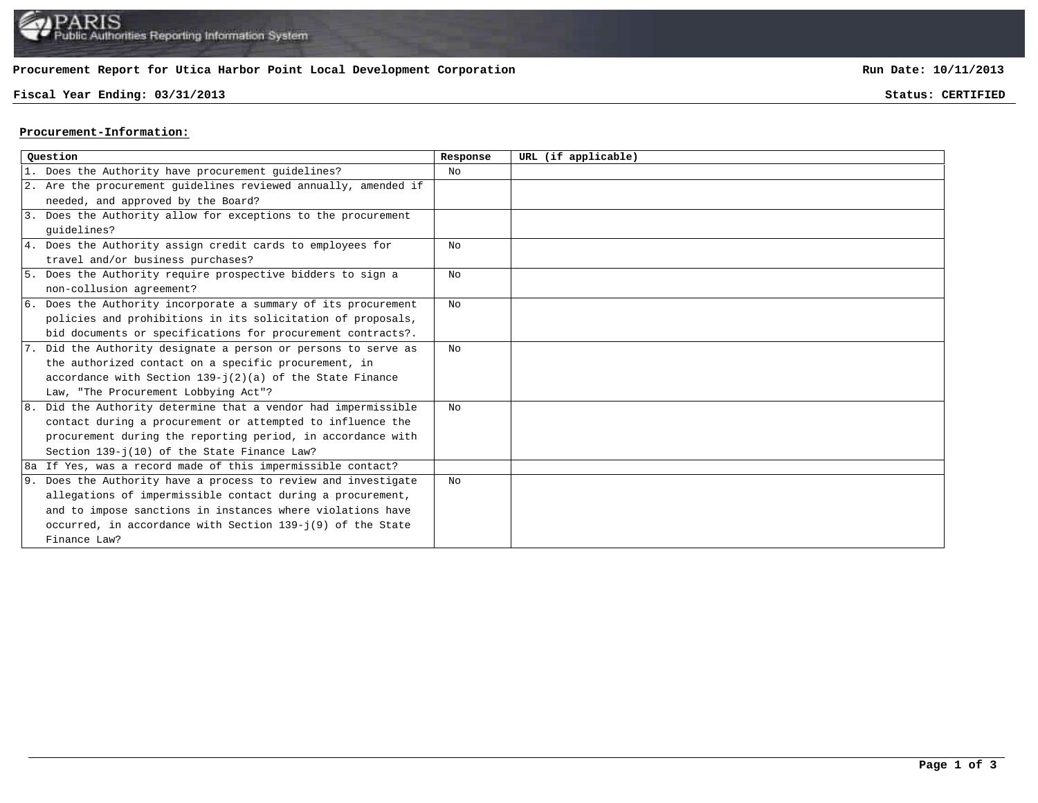# **Procurement Report for Utica Harbor Point Local Development Corporation**

#### **Fiscal Year Ending: 03/31/2013 Status: CERTIFIED**

**Run Date: 10/11/2013**

### **Procurement-Information:**

| Ouestion |                                                                 | Response       | URL (if applicable) |
|----------|-----------------------------------------------------------------|----------------|---------------------|
|          | 1. Does the Authority have procurement guidelines?              | No             |                     |
|          | 2. Are the procurement guidelines reviewed annually, amended if |                |                     |
|          | needed, and approved by the Board?                              |                |                     |
|          | 3. Does the Authority allow for exceptions to the procurement   |                |                     |
|          | quidelines?                                                     |                |                     |
|          | 4. Does the Authority assign credit cards to employees for      | No             |                     |
|          | travel and/or business purchases?                               |                |                     |
|          | 5. Does the Authority require prospective bidders to sign a     | No             |                     |
|          | non-collusion agreement?                                        |                |                     |
|          | 6. Does the Authority incorporate a summary of its procurement  | N <sub>O</sub> |                     |
|          | policies and prohibitions in its solicitation of proposals,     |                |                     |
|          | bid documents or specifications for procurement contracts?.     |                |                     |
|          | 7. Did the Authority designate a person or persons to serve as  | No.            |                     |
|          | the authorized contact on a specific procurement, in            |                |                     |
|          | accordance with Section $139 - j(2)(a)$ of the State Finance    |                |                     |
|          | Law, "The Procurement Lobbying Act"?                            |                |                     |
|          | 8. Did the Authority determine that a vendor had impermissible  | No             |                     |
|          | contact during a procurement or attempted to influence the      |                |                     |
|          | procurement during the reporting period, in accordance with     |                |                     |
|          | Section 139-j(10) of the State Finance Law?                     |                |                     |
|          | 8a If Yes, was a record made of this impermissible contact?     |                |                     |
|          | 9. Does the Authority have a process to review and investigate  | No             |                     |
|          | allegations of impermissible contact during a procurement,      |                |                     |
|          | and to impose sanctions in instances where violations have      |                |                     |
|          | occurred, in accordance with Section 139-j(9) of the State      |                |                     |
|          | Finance Law?                                                    |                |                     |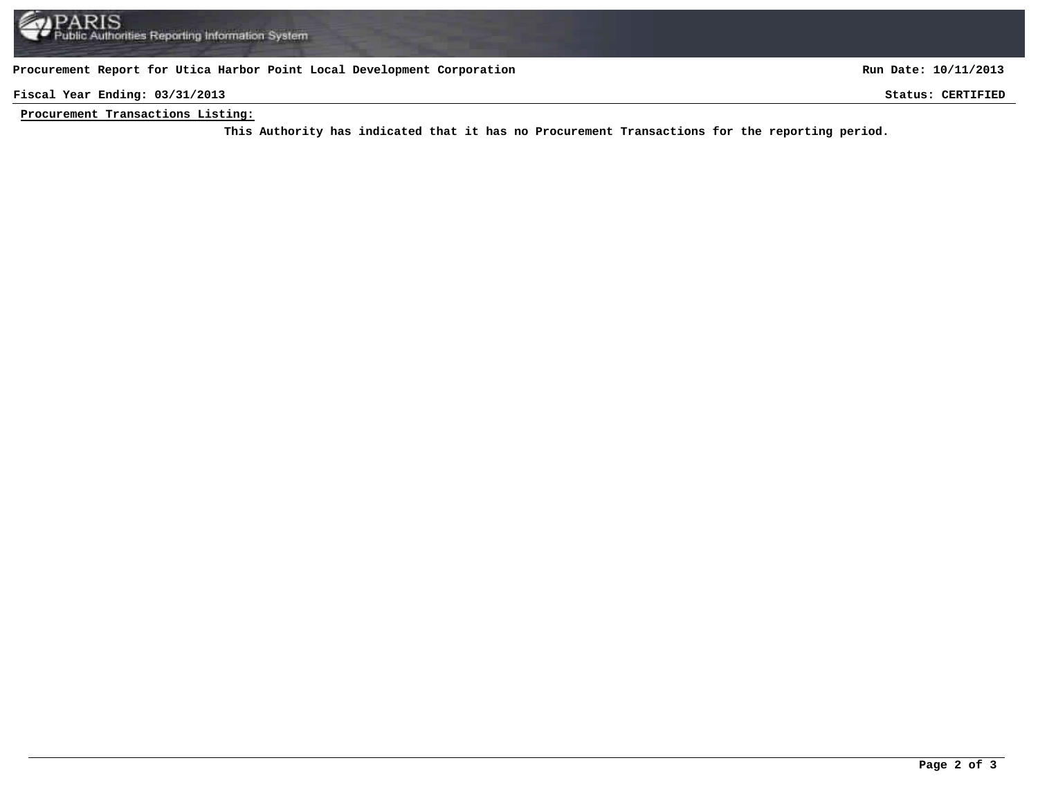#### **Procurement Report for Utica Harbor Point Local Development Corporation**

**Run Date: 10/11/2013**

**Fiscal Year Ending: 03/31/2013 Status: CERTIFIED**

**Procurement Transactions Listing:**

This Authority has indicated that it has no Procurement Transactions for the reporting period.